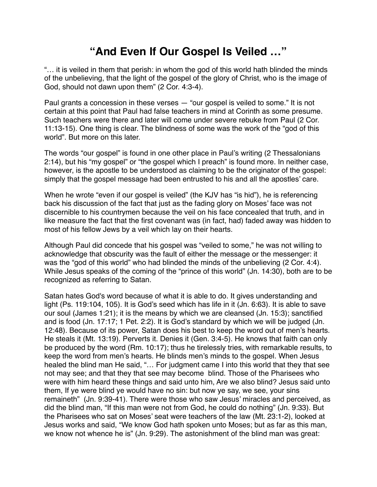## **"And Even If Our Gospel Is Veiled …"**

"… it is veiled in them that perish: in whom the god of this world hath blinded the minds of the unbelieving, that the light of the gospel of the glory of Christ, who is the image of God, should not dawn upon them" (2 Cor. 4:3-4).

Paul grants a concession in these verses — "our gospel is veiled to some." It is not certain at this point that Paul had false teachers in mind at Corinth as some presume. Such teachers were there and later will come under severe rebuke from Paul (2 Cor. 11:13-15). One thing is clear. The blindness of some was the work of the "god of this world". But more on this later.

The words "our gospel" is found in one other place in Paul's writing (2 Thessalonians 2:14), but his "my gospel" or "the gospel which I preach" is found more. In neither case, however, is the apostle to be understood as claiming to be the originator of the gospel: simply that the gospel message had been entrusted to his and all the apostles' care.

When he wrote "even if our gospel is veiled" (the KJV has "is hid"), he is referencing back his discussion of the fact that just as the fading glory on Moses' face was not discernible to his countrymen because the veil on his face concealed that truth, and in like measure the fact that the first covenant was (in fact, had) faded away was hidden to most of his fellow Jews by a veil which lay on their hearts.

Although Paul did concede that his gospel was "veiled to some," he was not willing to acknowledge that obscurity was the fault of either the message or the messenger: it was the "god of this world" who had blinded the minds of the unbelieving (2 Cor. 4:4). While Jesus speaks of the coming of the "prince of this world" (Jn. 14:30), both are to be recognized as referring to Satan.

Satan hates God's word because of what it is able to do. It gives understanding and light (Ps. 119:104, 105). It is God's seed which has life in it (Jn. 6:63). It is able to save our soul (James 1:21); it is the means by which we are cleansed (Jn. 15:3); sanctified and is food (Jn. 17:17; 1 Pet. 2:2). It is God's standard by which we will be judged (Jn. 12:48). Because of its power, Satan does his best to keep the word out of men's hearts. He steals it (Mt. 13:19). Perverts it. Denies it (Gen. 3:4-5). He knows that faith can only be produced by the word (Rm. 10:17); thus he tirelessly tries, with remarkable results, to keep the word from men's hearts. He blinds men's minds to the gospel. When Jesus healed the blind man He said, "... For judgment came I into this world that they that see not may see; and that they that see may become blind. Those of the Pharisees who were with him heard these things and said unto him, Are we also blind? Jesus said unto them, If ye were blind ye would have no sin: but now ye say, we see, your sins remaineth" (Jn. 9:39-41). There were those who saw Jesus' miracles and perceived, as did the blind man, "If this man were not from God, he could do nothing" (Jn. 9:33). But the Pharisees who sat on Moses' seat were teachers of the law (Mt. 23:1-2), looked at Jesus works and said, "We know God hath spoken unto Moses; but as far as this man, we know not whence he is" (Jn. 9:29). The astonishment of the blind man was great: